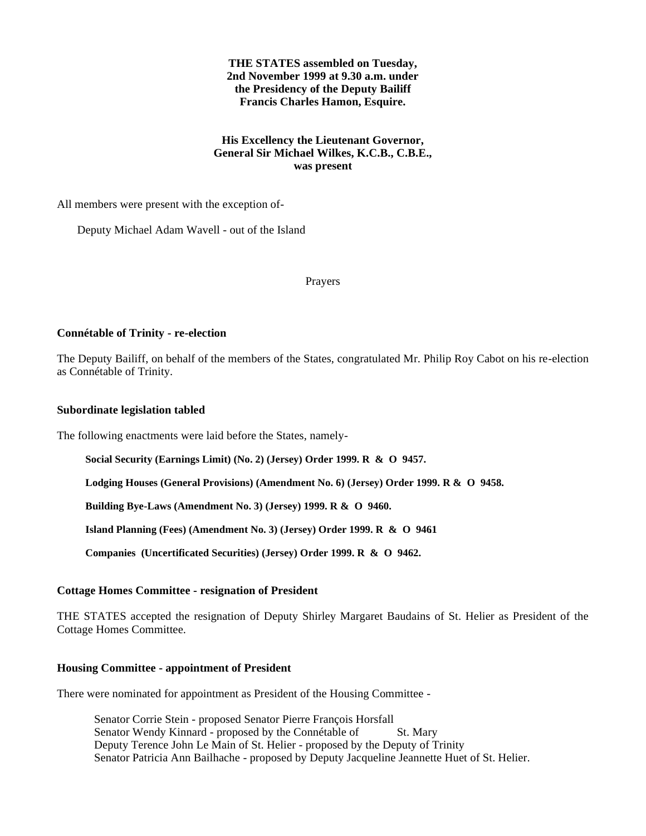# **THE STATES assembled on Tuesday, 2nd November 1999 at 9.30 a.m. under the Presidency of the Deputy Bailiff Francis Charles Hamon, Esquire.**

# **His Excellency the Lieutenant Governor, General Sir Michael Wilkes, K.C.B., C.B.E., was present**

All members were present with the exception of-

Deputy Michael Adam Wavell - out of the Island

Prayers

# **Connétable of Trinity - re-election**

The Deputy Bailiff, on behalf of the members of the States, congratulated Mr. Philip Roy Cabot on his re-election as Connétable of Trinity.

## **Subordinate legislation tabled**

The following enactments were laid before the States, namely-

**Social Security (Earnings Limit) (No. 2) (Jersey) Order 1999. R & O 9457.**

**Lodging Houses (General Provisions) (Amendment No. 6) (Jersey) Order 1999. R & O 9458.**

**Building Bye-Laws (Amendment No. 3) (Jersey) 1999. R & O 9460.**

**Island Planning (Fees) (Amendment No. 3) (Jersey) Order 1999. R & O 9461***.*

**Companies (Uncertificated Securities) (Jersey) Order 1999. R & O 9462.**

## **Cottage Homes Committee - resignation of President**

THE STATES accepted the resignation of Deputy Shirley Margaret Baudains of St. Helier as President of the Cottage Homes Committee.

## **Housing Committee - appointment of President**

There were nominated for appointment as President of the Housing Committee -

 Senator Corrie Stein - proposed Senator Pierre François Horsfall Senator Wendy Kinnard - proposed by the Connétable of St. Mary Deputy Terence John Le Main of St. Helier - proposed by the Deputy of Trinity Senator Patricia Ann Bailhache - proposed by Deputy Jacqueline Jeannette Huet of St. Helier.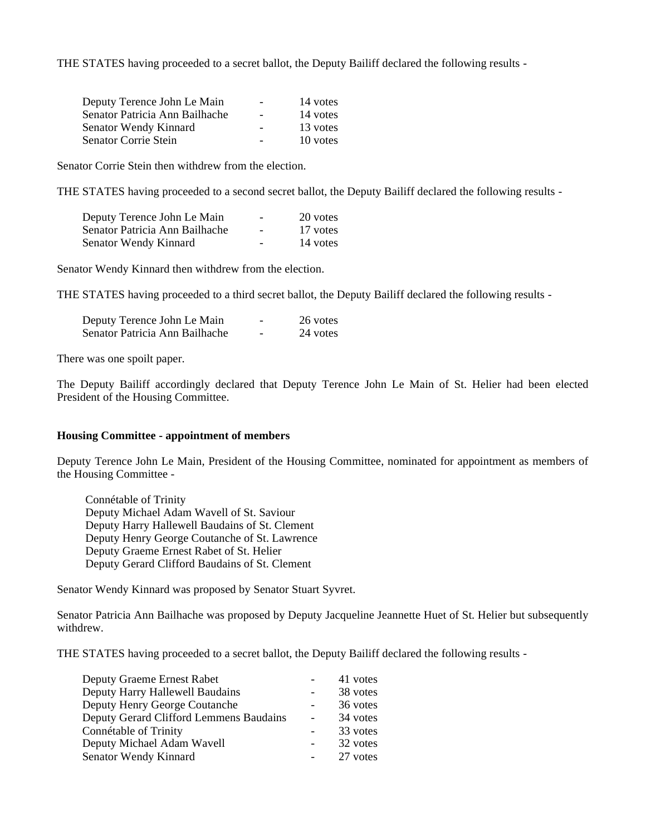THE STATES having proceeded to a secret ballot, the Deputy Bailiff declared the following results -

| 14 votes |
|----------|
| 14 votes |
| 13 votes |
| 10 votes |
|          |

Senator Corrie Stein then withdrew from the election.

THE STATES having proceeded to a second secret ballot, the Deputy Bailiff declared the following results -

| Deputy Terence John Le Main    | $\overline{\phantom{a}}$ | 20 votes |
|--------------------------------|--------------------------|----------|
| Senator Patricia Ann Bailhache | $\overline{\phantom{a}}$ | 17 votes |
| Senator Wendy Kinnard          | $\overline{\phantom{0}}$ | 14 votes |

Senator Wendy Kinnard then withdrew from the election.

THE STATES having proceeded to a third secret ballot, the Deputy Bailiff declared the following results -

| Deputy Terence John Le Main    | $\overline{\phantom{0}}$ | 26 votes |
|--------------------------------|--------------------------|----------|
| Senator Patricia Ann Bailhache | -                        | 24 votes |

There was one spoilt paper.

The Deputy Bailiff accordingly declared that Deputy Terence John Le Main of St. Helier had been elected President of the Housing Committee.

## **Housing Committee - appointment of members**

Deputy Terence John Le Main, President of the Housing Committee, nominated for appointment as members of the Housing Committee -

Connétable of Trinity Deputy Michael Adam Wavell of St. Saviour Deputy Harry Hallewell Baudains of St. Clement Deputy Henry George Coutanche of St. Lawrence Deputy Graeme Ernest Rabet of St. Helier Deputy Gerard Clifford Baudains of St. Clement

Senator Wendy Kinnard was proposed by Senator Stuart Syvret.

Senator Patricia Ann Bailhache was proposed by Deputy Jacqueline Jeannette Huet of St. Helier but subsequently withdrew.

THE STATES having proceeded to a secret ballot, the Deputy Bailiff declared the following results -

| <b>Deputy Graeme Ernest Rabet</b>       | 41 votes |
|-----------------------------------------|----------|
| Deputy Harry Hallewell Baudains         | 38 votes |
| Deputy Henry George Coutanche           | 36 votes |
| Deputy Gerard Clifford Lemmens Baudains | 34 votes |
| Connétable of Trinity                   | 33 votes |
| Deputy Michael Adam Wavell              | 32 votes |
| Senator Wendy Kinnard                   | 27 votes |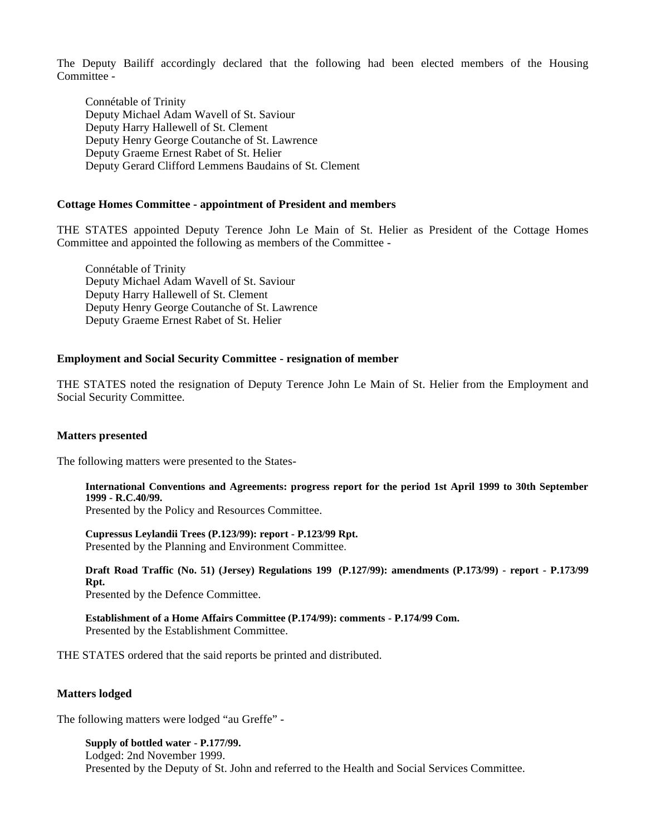The Deputy Bailiff accordingly declared that the following had been elected members of the Housing Committee -

Connétable of Trinity Deputy Michael Adam Wavell of St. Saviour Deputy Harry Hallewell of St. Clement Deputy Henry George Coutanche of St. Lawrence Deputy Graeme Ernest Rabet of St. Helier Deputy Gerard Clifford Lemmens Baudains of St. Clement

#### **Cottage Homes Committee - appointment of President and members**

THE STATES appointed Deputy Terence John Le Main of St. Helier as President of the Cottage Homes Committee and appointed the following as members of the Committee -

Connétable of Trinity Deputy Michael Adam Wavell of St. Saviour Deputy Harry Hallewell of St. Clement Deputy Henry George Coutanche of St. Lawrence Deputy Graeme Ernest Rabet of St. Helier

### **Employment and Social Security Committee - resignation of member**

THE STATES noted the resignation of Deputy Terence John Le Main of St. Helier from the Employment and Social Security Committee.

### **Matters presented**

The following matters were presented to the States-

**International Conventions and Agreements: progress report for the period 1st April 1999 to 30th September 1999 - R.C.40/99.**

Presented by the Policy and Resources Committee.

**Cupressus Leylandii Trees (P.123/99): report - P.123/99 Rpt.** Presented by the Planning and Environment Committee*.*

**Draft Road Traffic (No. 51) (Jersey) Regulations 199 (P.127/99): amendments (P.173/99) - report - P.173/99 Rpt.**

Presented by the Defence Committee.

**Establishment of a Home Affairs Committee (P.174/99): comments - P.174/99 Com.** Presented by the Establishment Committee.

THE STATES ordered that the said reports be printed and distributed.

### **Matters lodged**

The following matters were lodged "au Greffe" -

**Supply of bottled water - P.177/99.** Lodged: 2nd November 1999. Presented by the Deputy of St. John and referred to the Health and Social Services Committee.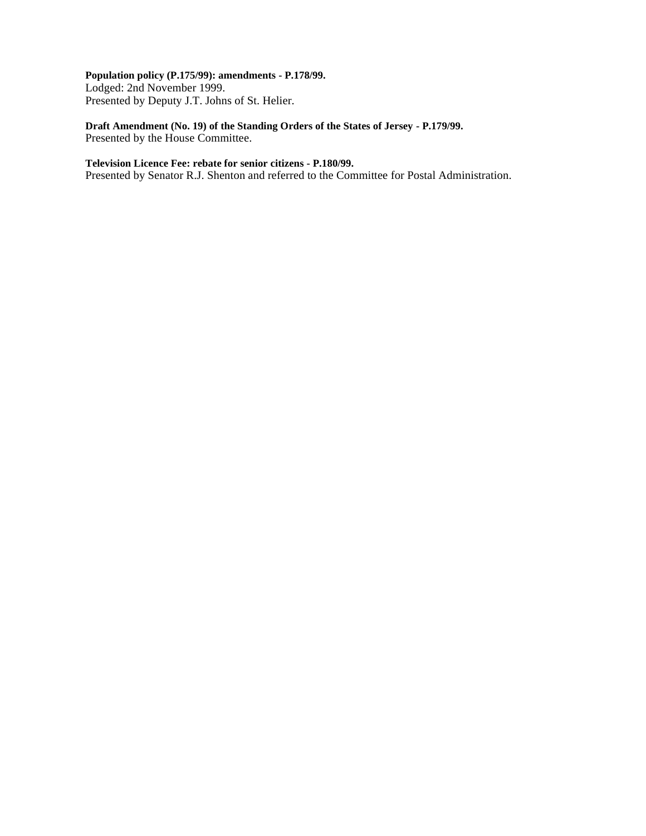# **Population policy (P.175/99): amendments - P.178/99.**

Lodged: 2nd November 1999. Presented by Deputy J.T. Johns of St. Helier.

# **Draft Amendment (No. 19) of the Standing Orders of the States of Jersey - P.179/99.** Presented by the House Committee.

## **Television Licence Fee: rebate for senior citizens - P.180/99.**

Presented by Senator R.J. Shenton and referred to the Committee for Postal Administration.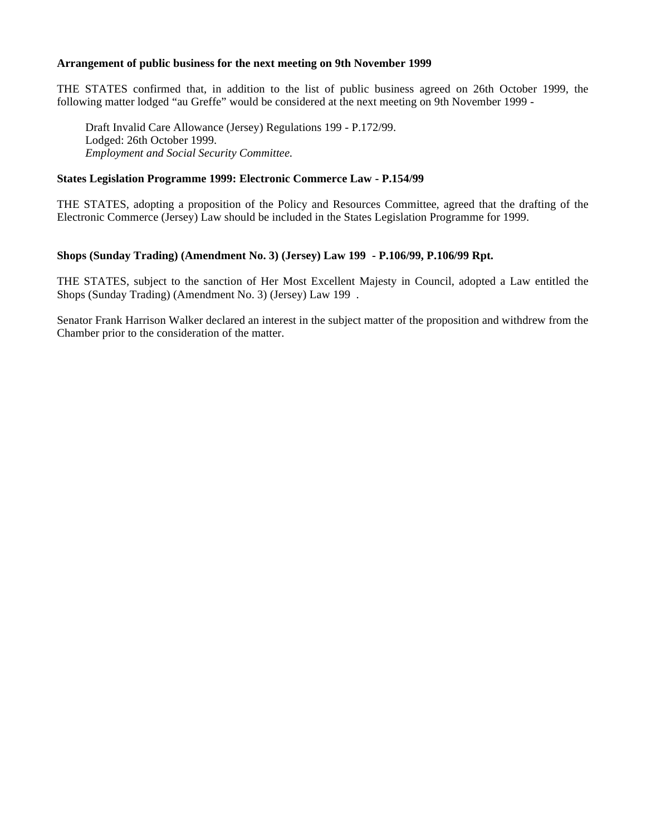## **Arrangement of public business for the next meeting on 9th November 1999**

THE STATES confirmed that, in addition to the list of public business agreed on 26th October 1999, the following matter lodged "au Greffe" would be considered at the next meeting on 9th November 1999 -

Draft Invalid Care Allowance (Jersey) Regulations 199 - P.172/99. Lodged: 26th October 1999. *Employment and Social Security Committee.*

## **States Legislation Programme 1999: Electronic Commerce Law - P.154/99**

THE STATES, adopting a proposition of the Policy and Resources Committee, agreed that the drafting of the Electronic Commerce (Jersey) Law should be included in the States Legislation Programme for 1999.

# **Shops (Sunday Trading) (Amendment No. 3) (Jersey) Law 199 - P.106/99, P.106/99 Rpt.**

THE STATES, subject to the sanction of Her Most Excellent Majesty in Council, adopted a Law entitled the Shops (Sunday Trading) (Amendment No. 3) (Jersey) Law 199 .

Senator Frank Harrison Walker declared an interest in the subject matter of the proposition and withdrew from the Chamber prior to the consideration of the matter.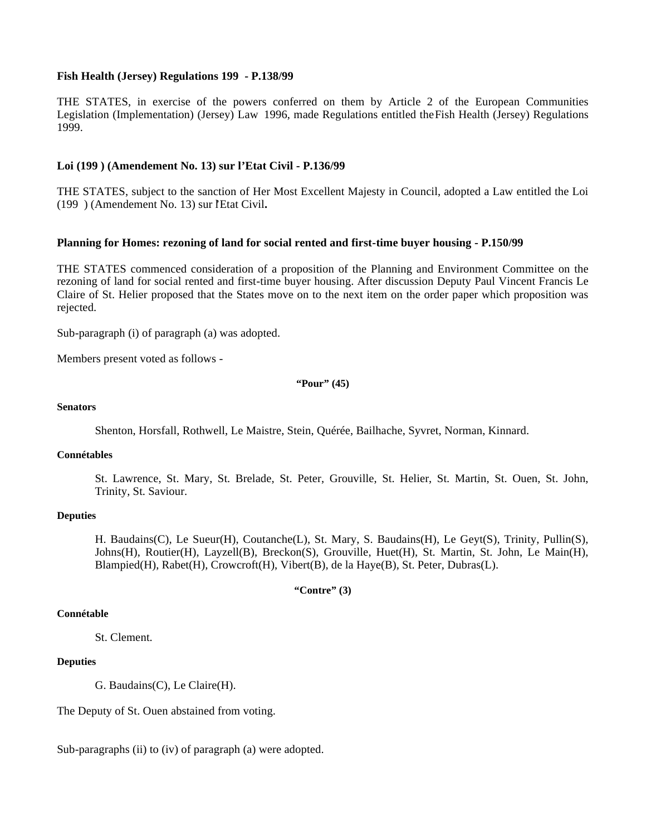## **Fish Health (Jersey) Regulations 199 - P.138/99**

THE STATES, in exercise of the powers conferred on them by Article 2 of the European Communities Legislation (Implementation) (Jersey) Law 1996, made Regulations entitled theFish Health (Jersey) Regulations 1999.

## **Loi (199 ) (Amendement No. 13) sur l'Etat Civil - P.136/99**

THE STATES, subject to the sanction of Her Most Excellent Majesty in Council, adopted a Law entitled the Loi (199 ) (Amendement No. 13) sur l'Etat Civil**.**

## **Planning for Homes: rezoning of land for social rented and first-time buyer housing - P.150/99**

THE STATES commenced consideration of a proposition of the Planning and Environment Committee on the rezoning of land for social rented and first-time buyer housing. After discussion Deputy Paul Vincent Francis Le Claire of St. Helier proposed that the States move on to the next item on the order paper which proposition was rejected.

Sub-paragraph (i) of paragraph (a) was adopted.

Members present voted as follows -

**"Pour" (45)**

## **Senators**

Shenton, Horsfall, Rothwell, Le Maistre, Stein, Quérée, Bailhache, Syvret, Norman, Kinnard.

## **Connétables**

St. Lawrence, St. Mary, St. Brelade, St. Peter, Grouville, St. Helier, St. Martin, St. Ouen, St. John, Trinity, St. Saviour.

## **Deputies**

H. Baudains(C), Le Sueur(H), Coutanche(L), St. Mary, S. Baudains(H), Le Geyt(S), Trinity, Pullin(S), Johns(H), Routier(H), Layzell(B), Breckon(S), Grouville, Huet(H), St. Martin, St. John, Le Main(H), Blampied(H), Rabet(H), Crowcroft(H), Vibert(B), de la Haye(B), St. Peter, Dubras(L).

**"Contre" (3)**

### **Connétable**

St. Clement.

## **Deputies**

G. Baudains(C), Le Claire(H).

The Deputy of St. Ouen abstained from voting.

Sub-paragraphs (ii) to (iv) of paragraph (a) were adopted.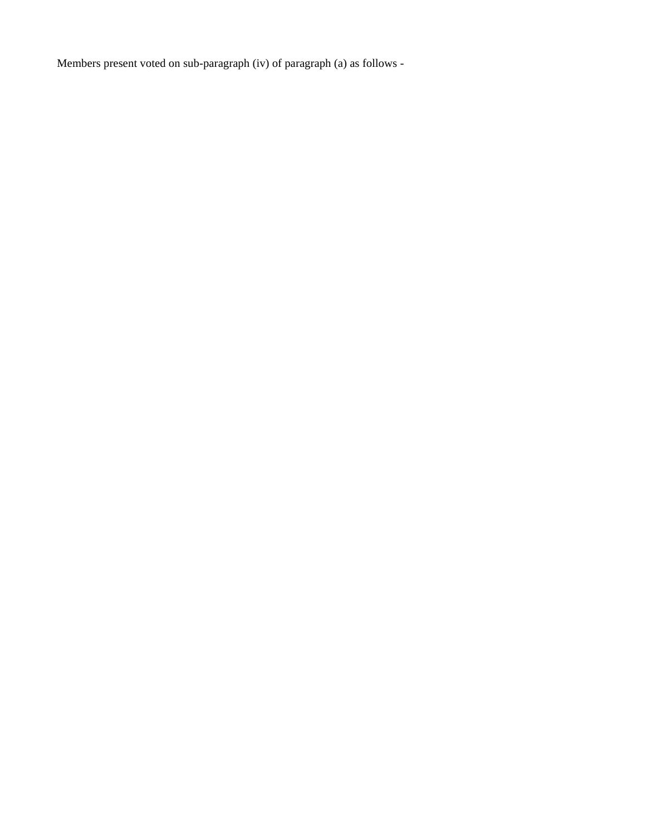Members present voted on sub-paragraph (iv) of paragraph (a) as follows -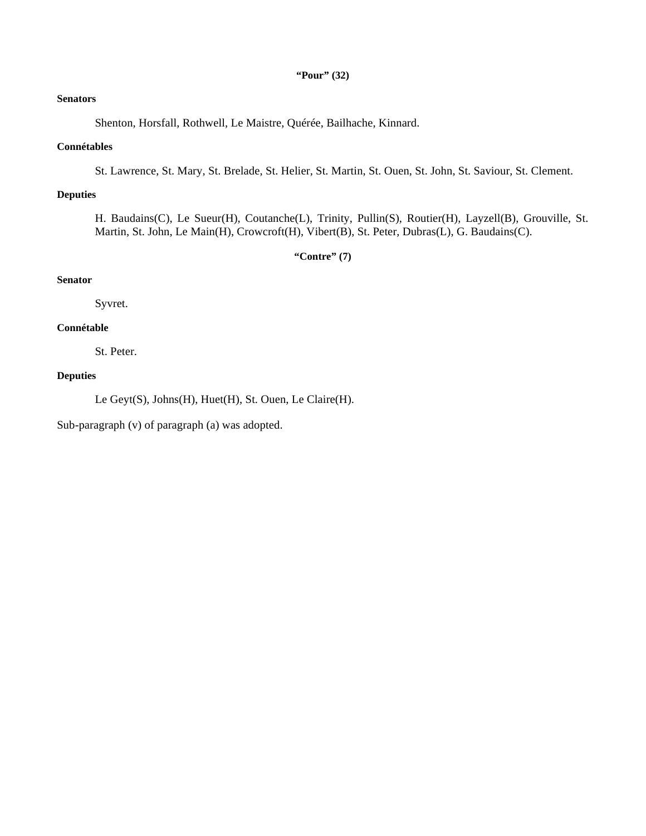## **"Pour" (32)**

# **Senators**

Shenton, Horsfall, Rothwell, Le Maistre, Quérée, Bailhache, Kinnard.

## **Connétables**

St. Lawrence, St. Mary, St. Brelade, St. Helier, St. Martin, St. Ouen, St. John, St. Saviour, St. Clement.

# **Deputies**

H. Baudains(C), Le Sueur(H), Coutanche(L), Trinity, Pullin(S), Routier(H), Layzell(B), Grouville, St. Martin, St. John, Le Main(H), Crowcroft(H), Vibert(B), St. Peter, Dubras(L), G. Baudains(C).

**"Contre" (7)**

# **Senator**

Syvret.

# **Connétable**

St. Peter.

## **Deputies**

Le Geyt(S), Johns(H), Huet(H), St. Ouen, Le Claire(H).

Sub-paragraph (v) of paragraph (a) was adopted.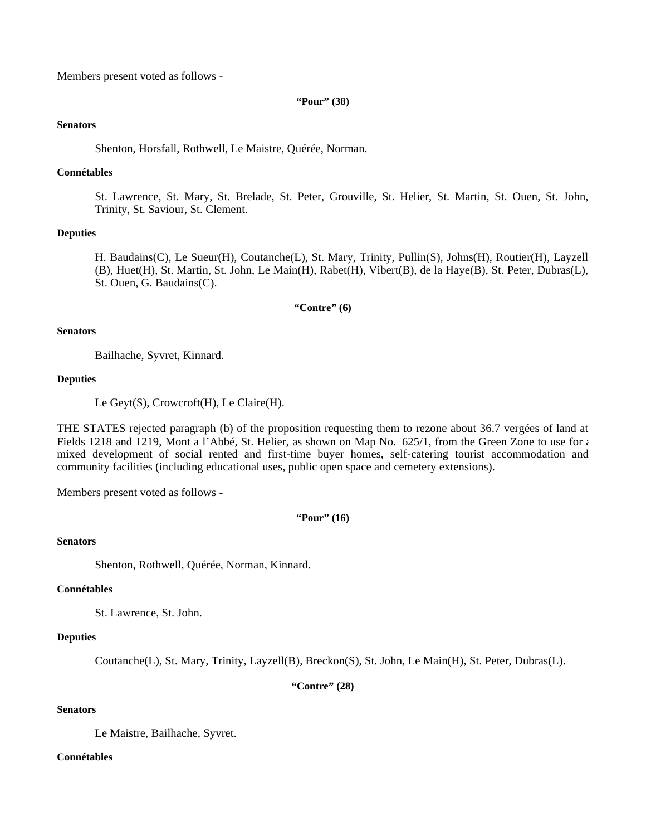Members present voted as follows -

### **"Pour" (38)**

### **Senators**

Shenton, Horsfall, Rothwell, Le Maistre, Quérée, Norman.

### **Connétables**

St. Lawrence, St. Mary, St. Brelade, St. Peter, Grouville, St. Helier, St. Martin, St. Ouen, St. John, Trinity, St. Saviour, St. Clement.

## **Deputies**

H. Baudains(C), Le Sueur(H), Coutanche(L), St. Mary, Trinity, Pullin(S), Johns(H), Routier(H), Layzell (B), Huet(H), St. Martin, St. John, Le Main(H), Rabet(H), Vibert(B), de la Haye(B), St. Peter, Dubras(L), St. Ouen, G. Baudains(C).

## **"Contre" (6)**

#### **Senators**

Bailhache, Syvret, Kinnard.

#### **Deputies**

Le Geyt(S), Crowcroft(H), Le Claire(H).

THE STATES rejected paragraph (b) of the proposition requesting them to rezone about 36.7 vergées of land at Fields 1218 and 1219, Mont a l'Abbé, St. Helier, as shown on Map No. 625/1, from the Green Zone to use for a mixed development of social rented and first-time buyer homes, self-catering tourist accommodation and community facilities (including educational uses, public open space and cemetery extensions).

Members present voted as follows -

## **"Pour" (16)**

## **Senators**

Shenton, Rothwell, Quérée, Norman, Kinnard.

## **Connétables**

St. Lawrence, St. John.

### **Deputies**

Coutanche(L), St. Mary, Trinity, Layzell(B), Breckon(S), St. John, Le Main(H), St. Peter, Dubras(L).

**"Contre" (28)**

# **Senators**

Le Maistre, Bailhache, Syvret.

### **Connétables**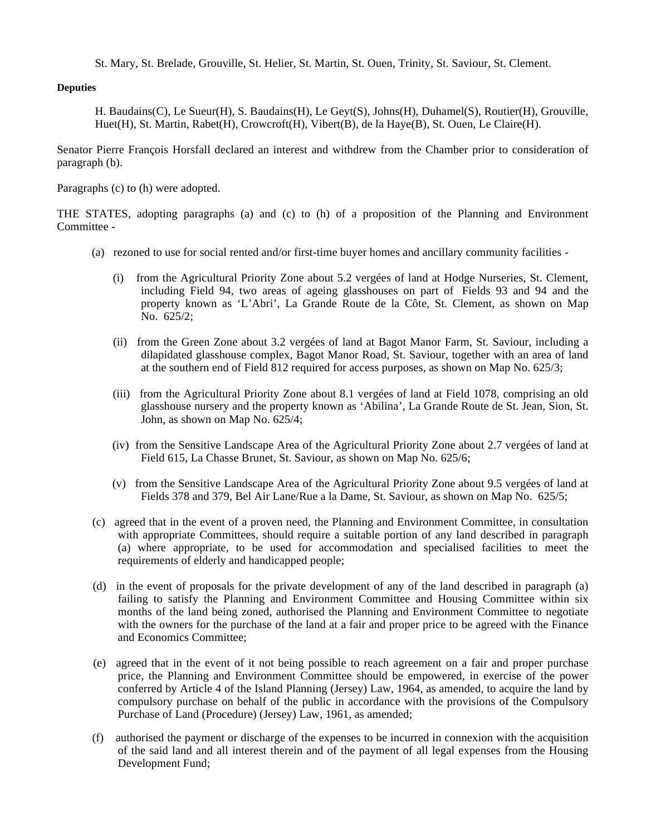St. Mary, St. Brelade, Grouville, St. Helier, St. Martin, St. Ouen, Trinity, St. Saviour, St. Clement.

# **Deputies**

H. Baudains(C), Le Sueur(H), S. Baudains(H), Le Geyt(S), Johns(H), Duhamel(S), Routier(H), Grouville, Huet(H), St. Martin, Rabet(H), Crowcroft(H), Vibert(B), de la Haye(B), St. Ouen, Le Claire(H).

Senator Pierre François Horsfall declared an interest and withdrew from the Chamber prior to consideration of paragraph (b).

Paragraphs (c) to (h) were adopted.

THE STATES, adopting paragraphs (a) and (c) to (h) of a proposition of the Planning and Environment Committee -

- (a) rezoned to use for social rented and/or first-time buyer homes and ancillary community facilities
	- (i) from the Agricultural Priority Zone about 5.2 vergées of land at Hodge Nurseries, St. Clement, including Field 94, two areas of ageing glasshouses on part of Fields 93 and 94 and the property known as 'L'Abri', La Grande Route de la Côte, St. Clement, as shown on Map No. 625/2;
	- (ii) from the Green Zone about 3.2 vergées of land at Bagot Manor Farm, St. Saviour, including a dilapidated glasshouse complex, Bagot Manor Road, St. Saviour, together with an area of land at the southern end of Field 812 required for access purposes, as shown on Map No. 625/3;
	- (iii) from the Agricultural Priority Zone about 8.1 vergées of land at Field 1078, comprising an old glasshouse nursery and the property known as 'Abilina', La Grande Route de St. Jean, Sion, St. John, as shown on Map No. 625/4;
	- (iv) from the Sensitive Landscape Area of the Agricultural Priority Zone about 2.7 vergées of land at Field 615, La Chasse Brunet, St. Saviour, as shown on Map No. 625/6;
	- (v) from the Sensitive Landscape Area of the Agricultural Priority Zone about 9.5 vergées of land at Fields 378 and 379, Bel Air Lane/Rue a la Dame, St. Saviour, as shown on Map No. 625/5;
- (c) agreed that in the event of a proven need, the Planning and Environment Committee, in consultation with appropriate Committees, should require a suitable portion of any land described in paragraph (a) where appropriate, to be used for accommodation and specialised facilities to meet the requirements of elderly and handicapped people;
- (d) in the event of proposals for the private development of any of the land described in paragraph (a) failing to satisfy the Planning and Environment Committee and Housing Committee within six months of the land being zoned, authorised the Planning and Environment Committee to negotiate with the owners for the purchase of the land at a fair and proper price to be agreed with the Finance and Economics Committee;
- (e) agreed that in the event of it not being possible to reach agreement on a fair and proper purchase price, the Planning and Environment Committee should be empowered, in exercise of the power conferred by Article 4 of the Island Planning (Jersey) Law, 1964, as amended, to acquire the land by compulsory purchase on behalf of the public in accordance with the provisions of the Compulsory Purchase of Land (Procedure) (Jersey) Law, 1961, as amended;
- (f) authorised the payment or discharge of the expenses to be incurred in connexion with the acquisition of the said land and all interest therein and of the payment of all legal expenses from the Housing Development Fund;